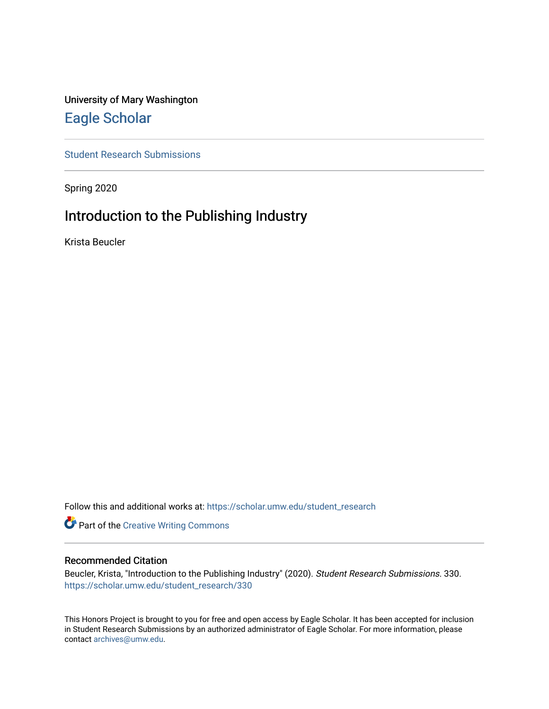# University of Mary Washington [Eagle Scholar](https://scholar.umw.edu/)

[Student Research Submissions](https://scholar.umw.edu/student_research) 

Spring 2020

# Introduction to the Publishing Industry

Krista Beucler

Follow this and additional works at: [https://scholar.umw.edu/student\\_research](https://scholar.umw.edu/student_research?utm_source=scholar.umw.edu%2Fstudent_research%2F330&utm_medium=PDF&utm_campaign=PDFCoverPages)

Part of the [Creative Writing Commons](http://network.bepress.com/hgg/discipline/574?utm_source=scholar.umw.edu%2Fstudent_research%2F330&utm_medium=PDF&utm_campaign=PDFCoverPages) 

#### Recommended Citation

Beucler, Krista, "Introduction to the Publishing Industry" (2020). Student Research Submissions. 330. [https://scholar.umw.edu/student\\_research/330](https://scholar.umw.edu/student_research/330?utm_source=scholar.umw.edu%2Fstudent_research%2F330&utm_medium=PDF&utm_campaign=PDFCoverPages)

This Honors Project is brought to you for free and open access by Eagle Scholar. It has been accepted for inclusion in Student Research Submissions by an authorized administrator of Eagle Scholar. For more information, please contact [archives@umw.edu](mailto:archives@umw.edu).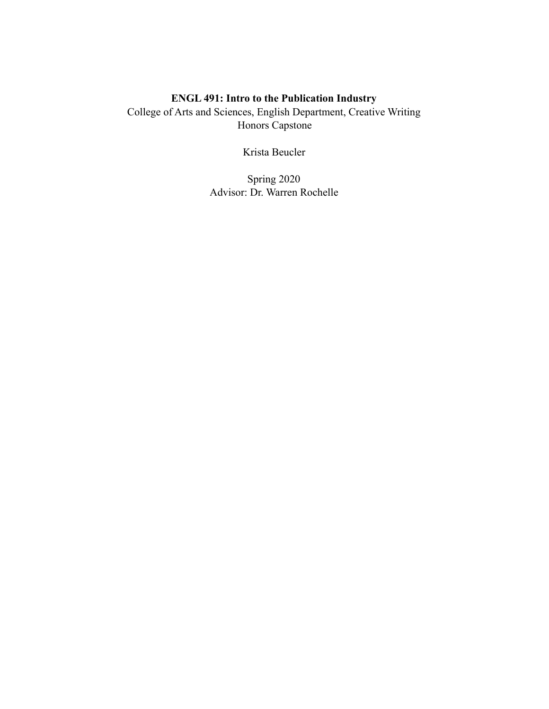# **ENGL 491: Intro to the Publication Industry**

College of Arts and Sciences, English Department, Creative Writing Honors Capstone

Krista Beucler

Spring 2020 Advisor: Dr. Warren Rochelle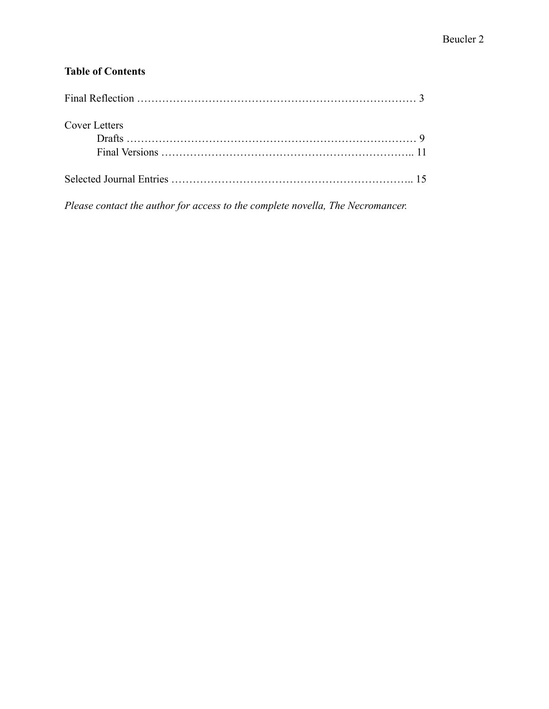# **Table of Contents**

| <b>Cover Letters</b> |  |
|----------------------|--|
|                      |  |
|                      |  |
|                      |  |

*Please contact the author for access to the complete novella, The Necromancer.*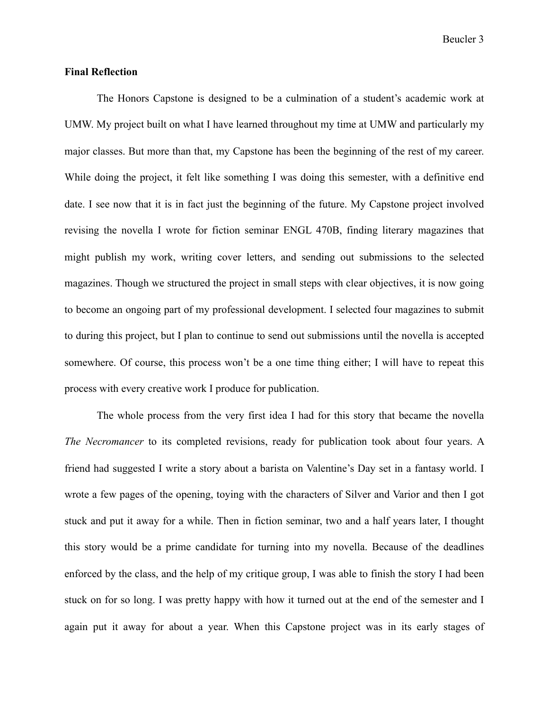Beucler 3

#### **Final Reflection**

The Honors Capstone is designed to be a culmination of a student's academic work at UMW. My project built on what I have learned throughout my time at UMW and particularly my major classes. But more than that, my Capstone has been the beginning of the rest of my career. While doing the project, it felt like something I was doing this semester, with a definitive end date. I see now that it is in fact just the beginning of the future. My Capstone project involved revising the novella I wrote for fiction seminar ENGL 470B, finding literary magazines that might publish my work, writing cover letters, and sending out submissions to the selected magazines. Though we structured the project in small steps with clear objectives, it is now going to become an ongoing part of my professional development. I selected four magazines to submit to during this project, but I plan to continue to send out submissions until the novella is accepted somewhere. Of course, this process won't be a one time thing either; I will have to repeat this process with every creative work I produce for publication.

The whole process from the very first idea I had for this story that became the novella *The Necromancer* to its completed revisions, ready for publication took about four years. A friend had suggested I write a story about a barista on Valentine's Day set in a fantasy world. I wrote a few pages of the opening, toying with the characters of Silver and Varior and then I got stuck and put it away for a while. Then in fiction seminar, two and a half years later, I thought this story would be a prime candidate for turning into my novella. Because of the deadlines enforced by the class, and the help of my critique group, I was able to finish the story I had been stuck on for so long. I was pretty happy with how it turned out at the end of the semester and I again put it away for about a year. When this Capstone project was in its early stages of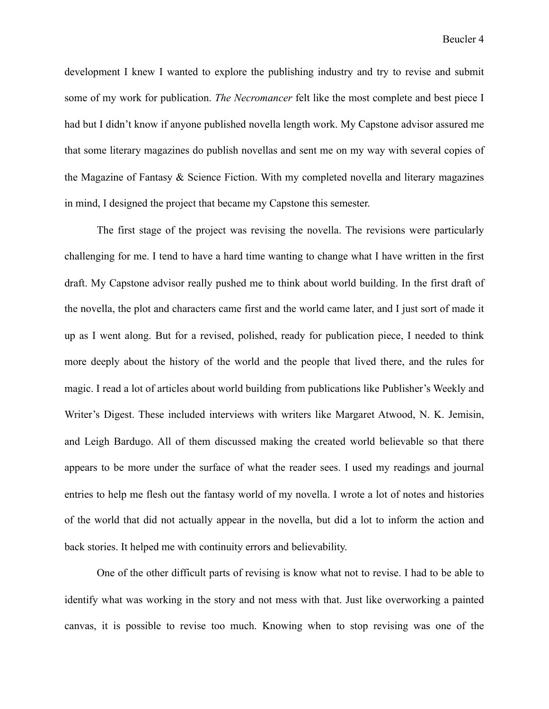development I knew I wanted to explore the publishing industry and try to revise and submit some of my work for publication. *The Necromancer* felt like the most complete and best piece I had but I didn't know if anyone published novella length work. My Capstone advisor assured me that some literary magazines do publish novellas and sent me on my way with several copies of the Magazine of Fantasy & Science Fiction. With my completed novella and literary magazines in mind, I designed the project that became my Capstone this semester.

The first stage of the project was revising the novella. The revisions were particularly challenging for me. I tend to have a hard time wanting to change what I have written in the first draft. My Capstone advisor really pushed me to think about world building. In the first draft of the novella, the plot and characters came first and the world came later, and I just sort of made it up as I went along. But for a revised, polished, ready for publication piece, I needed to think more deeply about the history of the world and the people that lived there, and the rules for magic. I read a lot of articles about world building from publications like Publisher's Weekly and Writer's Digest. These included interviews with writers like Margaret Atwood, N. K. Jemisin, and Leigh Bardugo. All of them discussed making the created world believable so that there appears to be more under the surface of what the reader sees. I used my readings and journal entries to help me flesh out the fantasy world of my novella. I wrote a lot of notes and histories of the world that did not actually appear in the novella, but did a lot to inform the action and back stories. It helped me with continuity errors and believability.

One of the other difficult parts of revising is know what not to revise. I had to be able to identify what was working in the story and not mess with that. Just like overworking a painted canvas, it is possible to revise too much. Knowing when to stop revising was one of the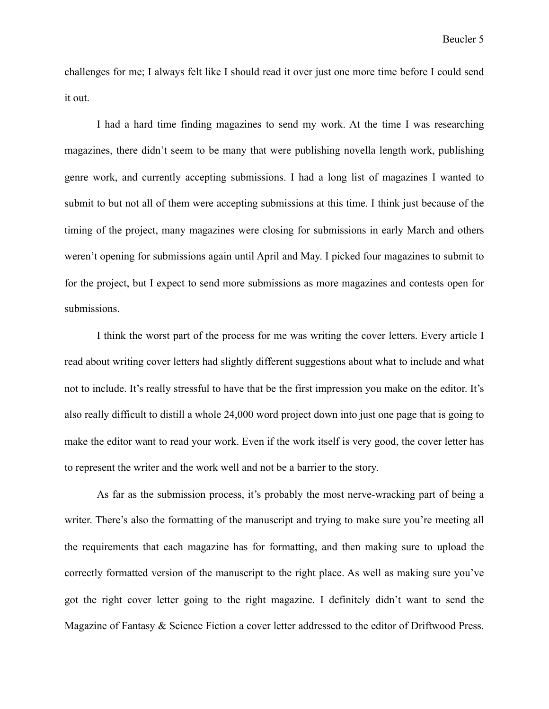challenges for me; I always felt like I should read it over just one more time before I could send it out.

I had a hard time finding magazines to send my work. At the time I was researching magazines, there didn't seem to be many that were publishing novella length work, publishing genre work, and currently accepting submissions. I had a long list of magazines I wanted to submit to but not all of them were accepting submissions at this time. I think just because of the timing of the project, many magazines were closing for submissions in early March and others weren't opening for submissions again until April and May. I picked four magazines to submit to for the project, but I expect to send more submissions as more magazines and contests open for submissions.

I think the worst part of the process for me was writing the cover letters. Every article I read about writing cover letters had slightly different suggestions about what to include and what not to include. It's really stressful to have that be the first impression you make on the editor. It's also really difficult to distill a whole 24,000 word project down into just one page that is going to make the editor want to read your work. Even if the work itself is very good, the cover letter has to represent the writer and the work well and not be a barrier to the story.

As far as the submission process, it's probably the most nerve-wracking part of being a writer. There's also the formatting of the manuscript and trying to make sure you're meeting all the requirements that each magazine has for formatting, and then making sure to upload the correctly formatted version of the manuscript to the right place. As well as making sure you've got the right cover letter going to the right magazine. I definitely didn't want to send the Magazine of Fantasy & Science Fiction a cover letter addressed to the editor of Driftwood Press.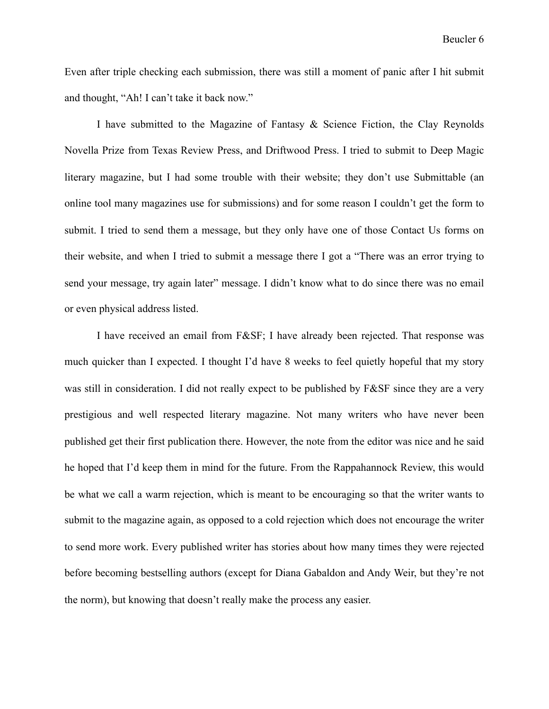Even after triple checking each submission, there was still a moment of panic after I hit submit and thought, "Ah! I can't take it back now."

I have submitted to the Magazine of Fantasy & Science Fiction, the Clay Reynolds Novella Prize from Texas Review Press, and Driftwood Press. I tried to submit to Deep Magic literary magazine, but I had some trouble with their website; they don't use Submittable (an online tool many magazines use for submissions) and for some reason I couldn't get the form to submit. I tried to send them a message, but they only have one of those Contact Us forms on their website, and when I tried to submit a message there I got a "There was an error trying to send your message, try again later" message. I didn't know what to do since there was no email or even physical address listed.

I have received an email from F&SF; I have already been rejected. That response was much quicker than I expected. I thought I'd have 8 weeks to feel quietly hopeful that my story was still in consideration. I did not really expect to be published by F&SF since they are a very prestigious and well respected literary magazine. Not many writers who have never been published get their first publication there. However, the note from the editor was nice and he said he hoped that I'd keep them in mind for the future. From the Rappahannock Review, this would be what we call a warm rejection, which is meant to be encouraging so that the writer wants to submit to the magazine again, as opposed to a cold rejection which does not encourage the writer to send more work. Every published writer has stories about how many times they were rejected before becoming bestselling authors (except for Diana Gabaldon and Andy Weir, but they're not the norm), but knowing that doesn't really make the process any easier.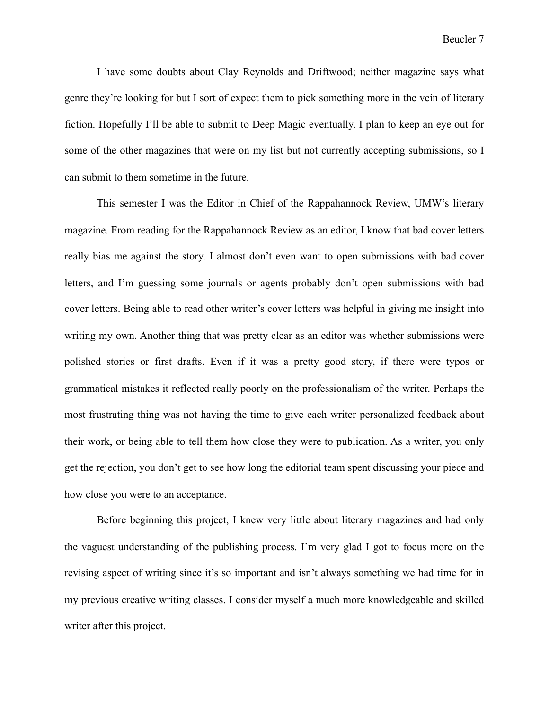I have some doubts about Clay Reynolds and Driftwood; neither magazine says what genre they're looking for but I sort of expect them to pick something more in the vein of literary fiction. Hopefully I'll be able to submit to Deep Magic eventually. I plan to keep an eye out for some of the other magazines that were on my list but not currently accepting submissions, so I can submit to them sometime in the future.

This semester I was the Editor in Chief of the Rappahannock Review, UMW's literary magazine. From reading for the Rappahannock Review as an editor, I know that bad cover letters really bias me against the story. I almost don't even want to open submissions with bad cover letters, and I'm guessing some journals or agents probably don't open submissions with bad cover letters. Being able to read other writer's cover letters was helpful in giving me insight into writing my own. Another thing that was pretty clear as an editor was whether submissions were polished stories or first drafts. Even if it was a pretty good story, if there were typos or grammatical mistakes it reflected really poorly on the professionalism of the writer. Perhaps the most frustrating thing was not having the time to give each writer personalized feedback about their work, or being able to tell them how close they were to publication. As a writer, you only get the rejection, you don't get to see how long the editorial team spent discussing your piece and how close you were to an acceptance.

Before beginning this project, I knew very little about literary magazines and had only the vaguest understanding of the publishing process. I'm very glad I got to focus more on the revising aspect of writing since it's so important and isn't always something we had time for in my previous creative writing classes. I consider myself a much more knowledgeable and skilled writer after this project.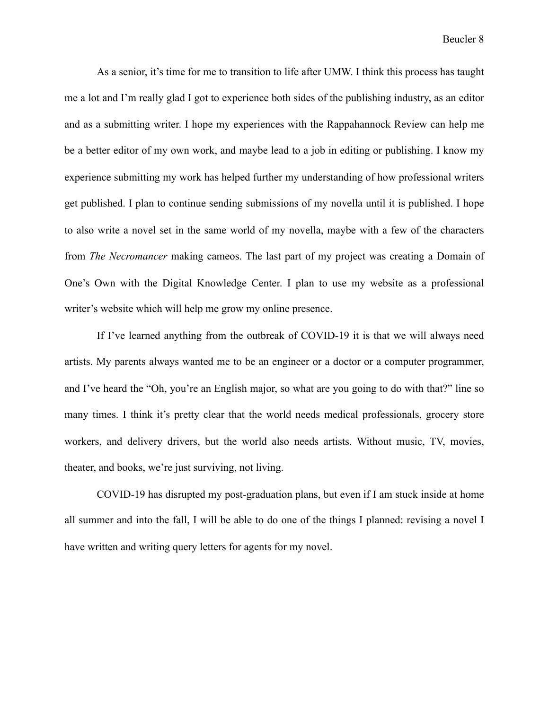As a senior, it's time for me to transition to life after UMW. I think this process has taught me a lot and I'm really glad I got to experience both sides of the publishing industry, as an editor and as a submitting writer. I hope my experiences with the Rappahannock Review can help me be a better editor of my own work, and maybe lead to a job in editing or publishing. I know my experience submitting my work has helped further my understanding of how professional writers get published. I plan to continue sending submissions of my novella until it is published. I hope to also write a novel set in the same world of my novella, maybe with a few of the characters from *The Necromancer* making cameos. The last part of my project was creating a Domain of One's Own with the Digital Knowledge Center. I plan to use my website as a professional writer's website which will help me grow my online presence.

If I've learned anything from the outbreak of COVID-19 it is that we will always need artists. My parents always wanted me to be an engineer or a doctor or a computer programmer, and I've heard the "Oh, you're an English major, so what are you going to do with that?" line so many times. I think it's pretty clear that the world needs medical professionals, grocery store workers, and delivery drivers, but the world also needs artists. Without music, TV, movies, theater, and books, we're just surviving, not living.

COVID-19 has disrupted my post-graduation plans, but even if I am stuck inside at home all summer and into the fall, I will be able to do one of the things I planned: revising a novel I have written and writing query letters for agents for my novel.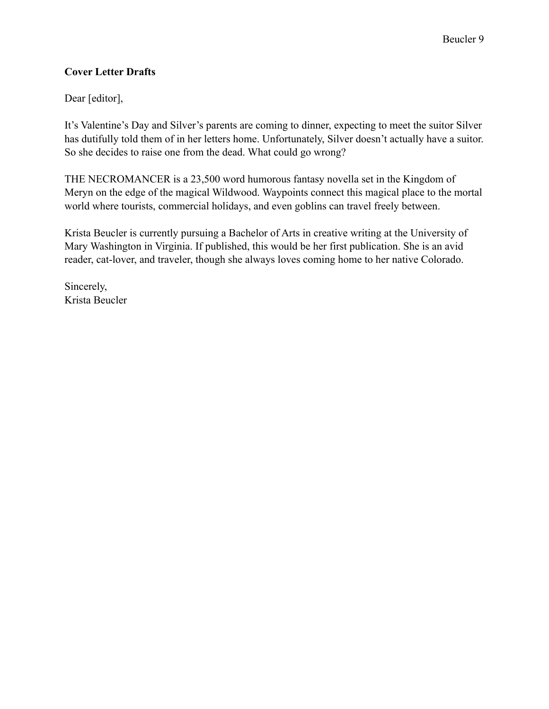# **Cover Letter Drafts**

Dear [editor],

It's Valentine's Day and Silver's parents are coming to dinner, expecting to meet the suitor Silver has dutifully told them of in her letters home. Unfortunately, Silver doesn't actually have a suitor. So she decides to raise one from the dead. What could go wrong?

THE NECROMANCER is a 23,500 word humorous fantasy novella set in the Kingdom of Meryn on the edge of the magical Wildwood. Waypoints connect this magical place to the mortal world where tourists, commercial holidays, and even goblins can travel freely between.

Krista Beucler is currently pursuing a Bachelor of Arts in creative writing at the University of Mary Washington in Virginia. If published, this would be her first publication. She is an avid reader, cat-lover, and traveler, though she always loves coming home to her native Colorado.

Sincerely, Krista Beucler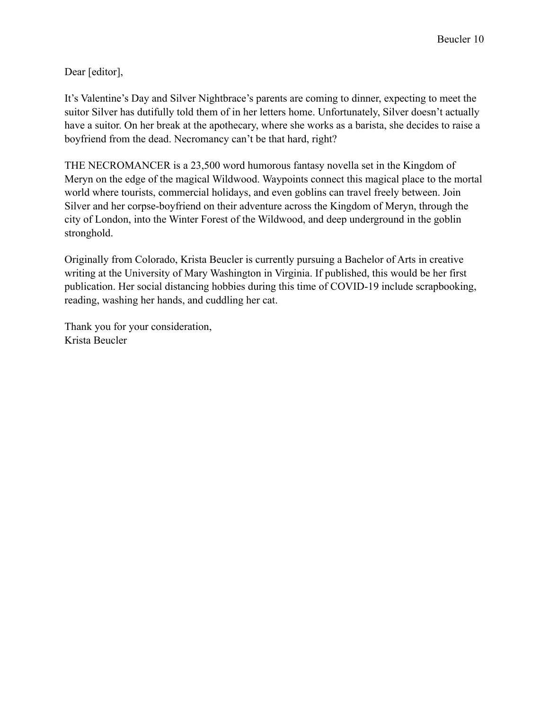Dear [editor],

It's Valentine's Day and Silver Nightbrace's parents are coming to dinner, expecting to meet the suitor Silver has dutifully told them of in her letters home. Unfortunately, Silver doesn't actually have a suitor. On her break at the apothecary, where she works as a barista, she decides to raise a boyfriend from the dead. Necromancy can't be that hard, right?

THE NECROMANCER is a 23,500 word humorous fantasy novella set in the Kingdom of Meryn on the edge of the magical Wildwood. Waypoints connect this magical place to the mortal world where tourists, commercial holidays, and even goblins can travel freely between. Join Silver and her corpse-boyfriend on their adventure across the Kingdom of Meryn, through the city of London, into the Winter Forest of the Wildwood, and deep underground in the goblin stronghold.

Originally from Colorado, Krista Beucler is currently pursuing a Bachelor of Arts in creative writing at the University of Mary Washington in Virginia. If published, this would be her first publication. Her social distancing hobbies during this time of COVID-19 include scrapbooking, reading, washing her hands, and cuddling her cat.

Thank you for your consideration, Krista Beucler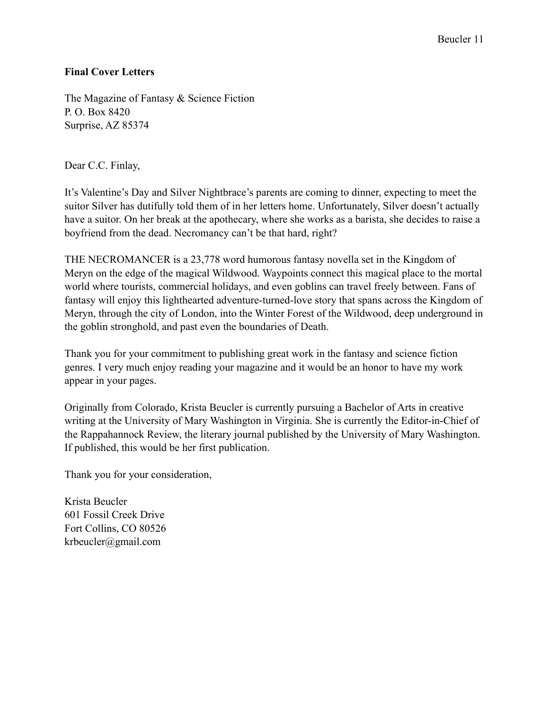# Beucler 11

# **Final Cover Letters**

The Magazine of Fantasy & Science Fiction P. O. Box 8420 Surprise, AZ 85374

Dear C.C. Finlay,

It's Valentine's Day and Silver Nightbrace's parents are coming to dinner, expecting to meet the suitor Silver has dutifully told them of in her letters home. Unfortunately, Silver doesn't actually have a suitor. On her break at the apothecary, where she works as a barista, she decides to raise a boyfriend from the dead. Necromancy can't be that hard, right?

THE NECROMANCER is a 23,778 word humorous fantasy novella set in the Kingdom of Meryn on the edge of the magical Wildwood. Waypoints connect this magical place to the mortal world where tourists, commercial holidays, and even goblins can travel freely between. Fans of fantasy will enjoy this lighthearted adventure-turned-love story that spans across the Kingdom of Meryn, through the city of London, into the Winter Forest of the Wildwood, deep underground in the goblin stronghold, and past even the boundaries of Death.

Thank you for your commitment to publishing great work in the fantasy and science fiction genres. I very much enjoy reading your magazine and it would be an honor to have my work appear in your pages.

Originally from Colorado, Krista Beucler is currently pursuing a Bachelor of Arts in creative writing at the University of Mary Washington in Virginia. She is currently the Editor-in-Chief of the Rappahannock Review, the literary journal published by the University of Mary Washington. If published, this would be her first publication.

Thank you for your consideration,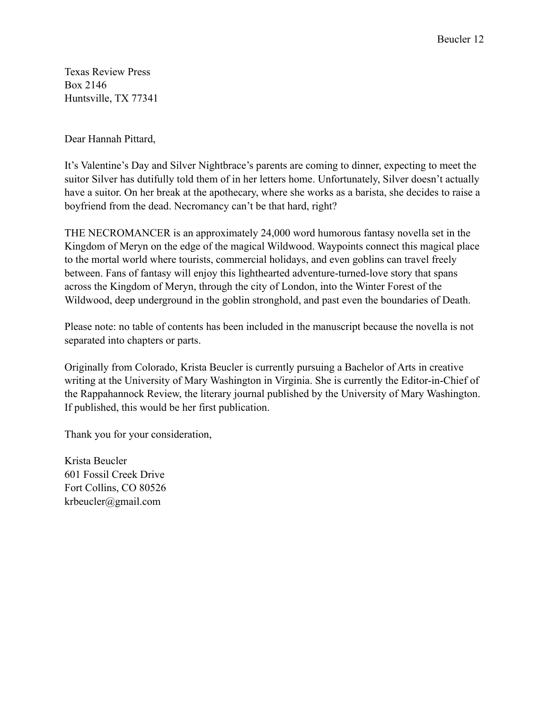Texas Review Press Box 2146 Huntsville, TX 77341

Dear Hannah Pittard,

It's Valentine's Day and Silver Nightbrace's parents are coming to dinner, expecting to meet the suitor Silver has dutifully told them of in her letters home. Unfortunately, Silver doesn't actually have a suitor. On her break at the apothecary, where she works as a barista, she decides to raise a boyfriend from the dead. Necromancy can't be that hard, right?

THE NECROMANCER is an approximately 24,000 word humorous fantasy novella set in the Kingdom of Meryn on the edge of the magical Wildwood. Waypoints connect this magical place to the mortal world where tourists, commercial holidays, and even goblins can travel freely between. Fans of fantasy will enjoy this lighthearted adventure-turned-love story that spans across the Kingdom of Meryn, through the city of London, into the Winter Forest of the Wildwood, deep underground in the goblin stronghold, and past even the boundaries of Death.

Please note: no table of contents has been included in the manuscript because the novella is not separated into chapters or parts.

Originally from Colorado, Krista Beucler is currently pursuing a Bachelor of Arts in creative writing at the University of Mary Washington in Virginia. She is currently the Editor-in-Chief of the Rappahannock Review, the literary journal published by the University of Mary Washington. If published, this would be her first publication.

Thank you for your consideration,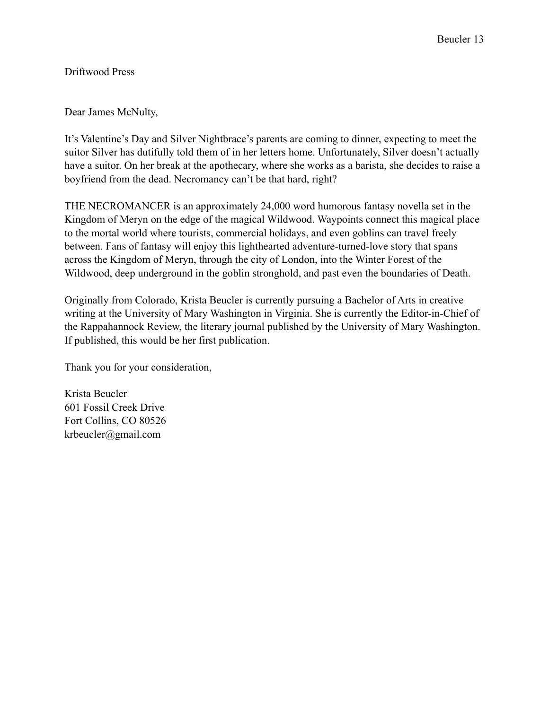Driftwood Press

Dear James McNulty,

It's Valentine's Day and Silver Nightbrace's parents are coming to dinner, expecting to meet the suitor Silver has dutifully told them of in her letters home. Unfortunately, Silver doesn't actually have a suitor. On her break at the apothecary, where she works as a barista, she decides to raise a boyfriend from the dead. Necromancy can't be that hard, right?

THE NECROMANCER is an approximately 24,000 word humorous fantasy novella set in the Kingdom of Meryn on the edge of the magical Wildwood. Waypoints connect this magical place to the mortal world where tourists, commercial holidays, and even goblins can travel freely between. Fans of fantasy will enjoy this lighthearted adventure-turned-love story that spans across the Kingdom of Meryn, through the city of London, into the Winter Forest of the Wildwood, deep underground in the goblin stronghold, and past even the boundaries of Death.

Originally from Colorado, Krista Beucler is currently pursuing a Bachelor of Arts in creative writing at the University of Mary Washington in Virginia. She is currently the Editor-in-Chief of the Rappahannock Review, the literary journal published by the University of Mary Washington. If published, this would be her first publication.

Thank you for your consideration,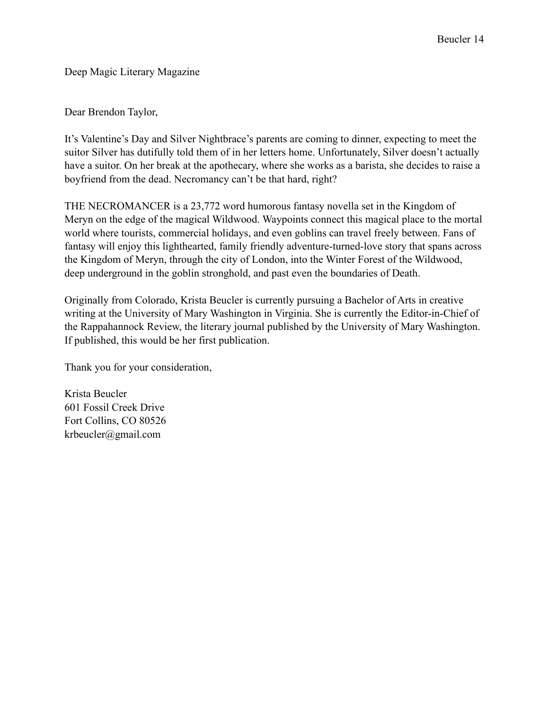Deep Magic Literary Magazine

Dear Brendon Taylor,

It's Valentine's Day and Silver Nightbrace's parents are coming to dinner, expecting to meet the suitor Silver has dutifully told them of in her letters home. Unfortunately, Silver doesn't actually have a suitor. On her break at the apothecary, where she works as a barista, she decides to raise a boyfriend from the dead. Necromancy can't be that hard, right?

THE NECROMANCER is a 23,772 word humorous fantasy novella set in the Kingdom of Meryn on the edge of the magical Wildwood. Waypoints connect this magical place to the mortal world where tourists, commercial holidays, and even goblins can travel freely between. Fans of fantasy will enjoy this lighthearted, family friendly adventure-turned-love story that spans across the Kingdom of Meryn, through the city of London, into the Winter Forest of the Wildwood, deep underground in the goblin stronghold, and past even the boundaries of Death.

Originally from Colorado, Krista Beucler is currently pursuing a Bachelor of Arts in creative writing at the University of Mary Washington in Virginia. She is currently the Editor-in-Chief of the Rappahannock Review, the literary journal published by the University of Mary Washington. If published, this would be her first publication.

Thank you for your consideration,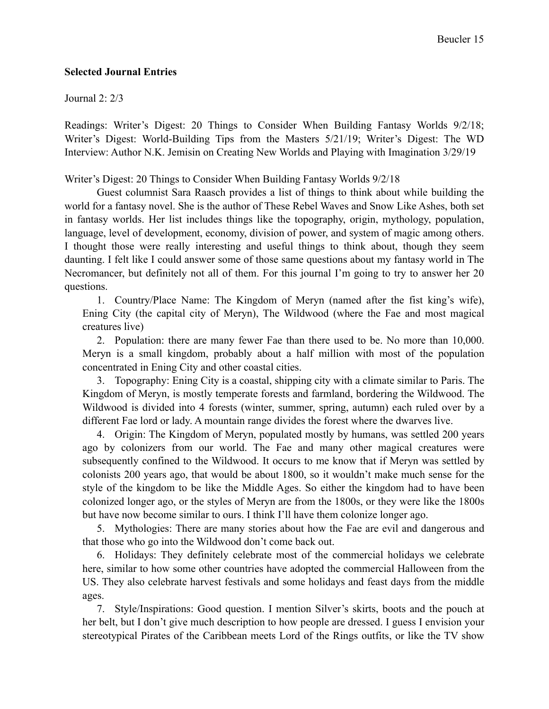## **Selected Journal Entries**

#### Journal 2: 2/3

Readings: Writer's Digest: 20 Things to Consider When Building Fantasy Worlds 9/2/18; Writer's Digest: World-Building Tips from the Masters 5/21/19; Writer's Digest: The WD Interview: Author N.K. Jemisin on Creating New Worlds and Playing with Imagination 3/29/19

## Writer's Digest: 20 Things to Consider When Building Fantasy Worlds 9/2/18

Guest columnist Sara Raasch provides a list of things to think about while building the world for a fantasy novel. She is the author of These Rebel Waves and Snow Like Ashes, both set in fantasy worlds. Her list includes things like the topography, origin, mythology, population, language, level of development, economy, division of power, and system of magic among others. I thought those were really interesting and useful things to think about, though they seem daunting. I felt like I could answer some of those same questions about my fantasy world in The Necromancer, but definitely not all of them. For this journal I'm going to try to answer her 20 questions.

1. Country/Place Name: The Kingdom of Meryn (named after the fist king's wife), Ening City (the capital city of Meryn), The Wildwood (where the Fae and most magical creatures live)

2. Population: there are many fewer Fae than there used to be. No more than 10,000. Meryn is a small kingdom, probably about a half million with most of the population concentrated in Ening City and other coastal cities.

3. Topography: Ening City is a coastal, shipping city with a climate similar to Paris. The Kingdom of Meryn, is mostly temperate forests and farmland, bordering the Wildwood. The Wildwood is divided into 4 forests (winter, summer, spring, autumn) each ruled over by a different Fae lord or lady. A mountain range divides the forest where the dwarves live.

4. Origin: The Kingdom of Meryn, populated mostly by humans, was settled 200 years ago by colonizers from our world. The Fae and many other magical creatures were subsequently confined to the Wildwood. It occurs to me know that if Meryn was settled by colonists 200 years ago, that would be about 1800, so it wouldn't make much sense for the style of the kingdom to be like the Middle Ages. So either the kingdom had to have been colonized longer ago, or the styles of Meryn are from the 1800s, or they were like the 1800s but have now become similar to ours. I think I'll have them colonize longer ago.

5. Mythologies: There are many stories about how the Fae are evil and dangerous and that those who go into the Wildwood don't come back out.

6. Holidays: They definitely celebrate most of the commercial holidays we celebrate here, similar to how some other countries have adopted the commercial Halloween from the US. They also celebrate harvest festivals and some holidays and feast days from the middle ages.

7. Style/Inspirations: Good question. I mention Silver's skirts, boots and the pouch at her belt, but I don't give much description to how people are dressed. I guess I envision your stereotypical Pirates of the Caribbean meets Lord of the Rings outfits, or like the TV show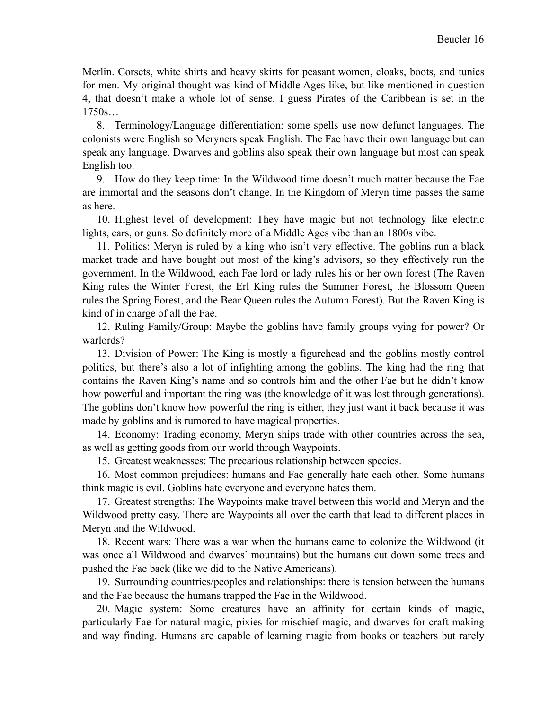Merlin. Corsets, white shirts and heavy skirts for peasant women, cloaks, boots, and tunics for men. My original thought was kind of Middle Ages-like, but like mentioned in question 4, that doesn't make a whole lot of sense. I guess Pirates of the Caribbean is set in the 1750s…

8. Terminology/Language differentiation: some spells use now defunct languages. The colonists were English so Meryners speak English. The Fae have their own language but can speak any language. Dwarves and goblins also speak their own language but most can speak English too.

9. How do they keep time: In the Wildwood time doesn't much matter because the Fae are immortal and the seasons don't change. In the Kingdom of Meryn time passes the same as here.

10. Highest level of development: They have magic but not technology like electric lights, cars, or guns. So definitely more of a Middle Ages vibe than an 1800s vibe.

11. Politics: Meryn is ruled by a king who isn't very effective. The goblins run a black market trade and have bought out most of the king's advisors, so they effectively run the government. In the Wildwood, each Fae lord or lady rules his or her own forest (The Raven King rules the Winter Forest, the Erl King rules the Summer Forest, the Blossom Queen rules the Spring Forest, and the Bear Queen rules the Autumn Forest). But the Raven King is kind of in charge of all the Fae.

12. Ruling Family/Group: Maybe the goblins have family groups vying for power? Or warlords?

13. Division of Power: The King is mostly a figurehead and the goblins mostly control politics, but there's also a lot of infighting among the goblins. The king had the ring that contains the Raven King's name and so controls him and the other Fae but he didn't know how powerful and important the ring was (the knowledge of it was lost through generations). The goblins don't know how powerful the ring is either, they just want it back because it was made by goblins and is rumored to have magical properties.

14. Economy: Trading economy, Meryn ships trade with other countries across the sea, as well as getting goods from our world through Waypoints.

15. Greatest weaknesses: The precarious relationship between species.

16. Most common prejudices: humans and Fae generally hate each other. Some humans think magic is evil. Goblins hate everyone and everyone hates them.

17. Greatest strengths: The Waypoints make travel between this world and Meryn and the Wildwood pretty easy. There are Waypoints all over the earth that lead to different places in Meryn and the Wildwood.

18. Recent wars: There was a war when the humans came to colonize the Wildwood (it was once all Wildwood and dwarves' mountains) but the humans cut down some trees and pushed the Fae back (like we did to the Native Americans).

19. Surrounding countries/peoples and relationships: there is tension between the humans and the Fae because the humans trapped the Fae in the Wildwood.

20. Magic system: Some creatures have an affinity for certain kinds of magic, particularly Fae for natural magic, pixies for mischief magic, and dwarves for craft making and way finding. Humans are capable of learning magic from books or teachers but rarely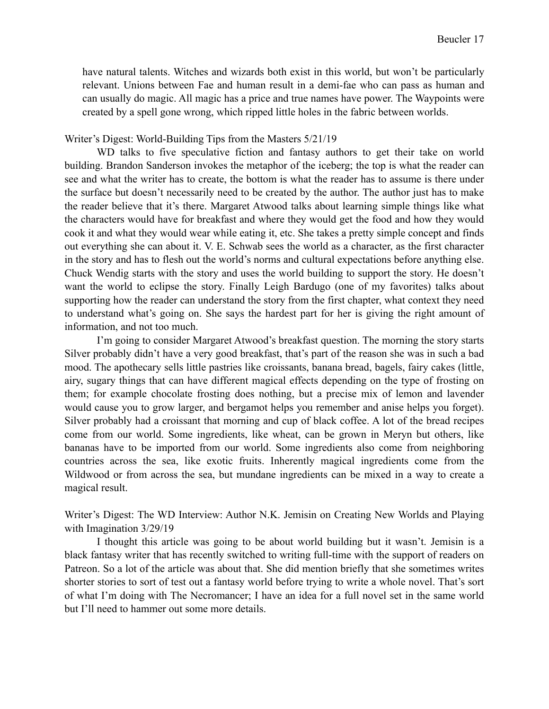have natural talents. Witches and wizards both exist in this world, but won't be particularly relevant. Unions between Fae and human result in a demi-fae who can pass as human and can usually do magic. All magic has a price and true names have power. The Waypoints were created by a spell gone wrong, which ripped little holes in the fabric between worlds.

### Writer's Digest: World-Building Tips from the Masters 5/21/19

WD talks to five speculative fiction and fantasy authors to get their take on world building. Brandon Sanderson invokes the metaphor of the iceberg; the top is what the reader can see and what the writer has to create, the bottom is what the reader has to assume is there under the surface but doesn't necessarily need to be created by the author. The author just has to make the reader believe that it's there. Margaret Atwood talks about learning simple things like what the characters would have for breakfast and where they would get the food and how they would cook it and what they would wear while eating it, etc. She takes a pretty simple concept and finds out everything she can about it. V. E. Schwab sees the world as a character, as the first character in the story and has to flesh out the world's norms and cultural expectations before anything else. Chuck Wendig starts with the story and uses the world building to support the story. He doesn't want the world to eclipse the story. Finally Leigh Bardugo (one of my favorites) talks about supporting how the reader can understand the story from the first chapter, what context they need to understand what's going on. She says the hardest part for her is giving the right amount of information, and not too much.

I'm going to consider Margaret Atwood's breakfast question. The morning the story starts Silver probably didn't have a very good breakfast, that's part of the reason she was in such a bad mood. The apothecary sells little pastries like croissants, banana bread, bagels, fairy cakes (little, airy, sugary things that can have different magical effects depending on the type of frosting on them; for example chocolate frosting does nothing, but a precise mix of lemon and lavender would cause you to grow larger, and bergamot helps you remember and anise helps you forget). Silver probably had a croissant that morning and cup of black coffee. A lot of the bread recipes come from our world. Some ingredients, like wheat, can be grown in Meryn but others, like bananas have to be imported from our world. Some ingredients also come from neighboring countries across the sea, like exotic fruits. Inherently magical ingredients come from the Wildwood or from across the sea, but mundane ingredients can be mixed in a way to create a magical result.

Writer's Digest: The WD Interview: Author N.K. Jemisin on Creating New Worlds and Playing with Imagination 3/29/19

I thought this article was going to be about world building but it wasn't. Jemisin is a black fantasy writer that has recently switched to writing full-time with the support of readers on Patreon. So a lot of the article was about that. She did mention briefly that she sometimes writes shorter stories to sort of test out a fantasy world before trying to write a whole novel. That's sort of what I'm doing with The Necromancer; I have an idea for a full novel set in the same world but I'll need to hammer out some more details.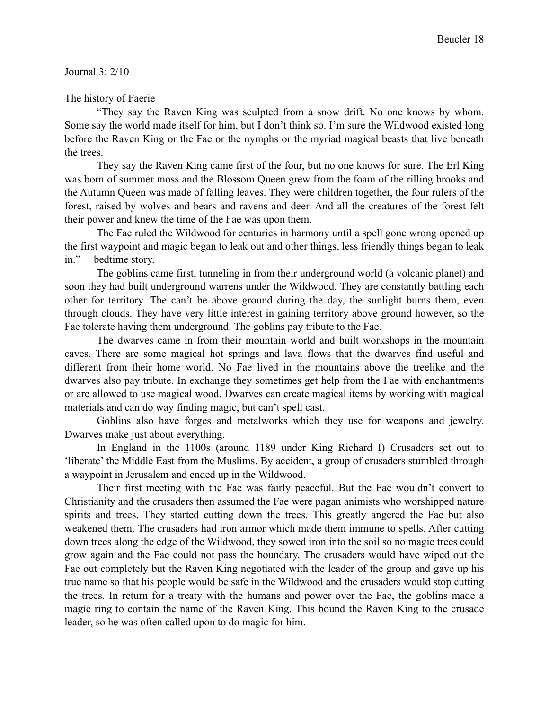### Journal 3: 2/10

#### The history of Faerie

"They say the Raven King was sculpted from a snow drift. No one knows by whom. Some say the world made itself for him, but I don't think so. I'm sure the Wildwood existed long before the Raven King or the Fae or the nymphs or the myriad magical beasts that live beneath the trees.

They say the Raven King came first of the four, but no one knows for sure. The Erl King was born of summer moss and the Blossom Queen grew from the foam of the rilling brooks and the Autumn Queen was made of falling leaves. They were children together, the four rulers of the forest, raised by wolves and bears and ravens and deer. And all the creatures of the forest felt their power and knew the time of the Fae was upon them.

The Fae ruled the Wildwood for centuries in harmony until a spell gone wrong opened up the first waypoint and magic began to leak out and other things, less friendly things began to leak in." —bedtime story.

The goblins came first, tunneling in from their underground world (a volcanic planet) and soon they had built underground warrens under the Wildwood. They are constantly battling each other for territory. The can't be above ground during the day, the sunlight burns them, even through clouds. They have very little interest in gaining territory above ground however, so the Fae tolerate having them underground. The goblins pay tribute to the Fae.

The dwarves came in from their mountain world and built workshops in the mountain caves. There are some magical hot springs and lava flows that the dwarves find useful and different from their home world. No Fae lived in the mountains above the treelike and the dwarves also pay tribute. In exchange they sometimes get help from the Fae with enchantments or are allowed to use magical wood. Dwarves can create magical items by working with magical materials and can do way finding magic, but can't spell cast.

Goblins also have forges and metalworks which they use for weapons and jewelry. Dwarves make just about everything.

In England in the 1100s (around 1189 under King Richard I) Crusaders set out to 'liberate' the Middle East from the Muslims. By accident, a group of crusaders stumbled through a waypoint in Jerusalem and ended up in the Wildwood.

Their first meeting with the Fae was fairly peaceful. But the Fae wouldn't convert to Christianity and the crusaders then assumed the Fae were pagan animists who worshipped nature spirits and trees. They started cutting down the trees. This greatly angered the Fae but also weakened them. The crusaders had iron armor which made them immune to spells. After cutting down trees along the edge of the Wildwood, they sowed iron into the soil so no magic trees could grow again and the Fae could not pass the boundary. The crusaders would have wiped out the Fae out completely but the Raven King negotiated with the leader of the group and gave up his true name so that his people would be safe in the Wildwood and the crusaders would stop cutting the trees. In return for a treaty with the humans and power over the Fae, the goblins made a magic ring to contain the name of the Raven King. This bound the Raven King to the crusade leader, so he was often called upon to do magic for him.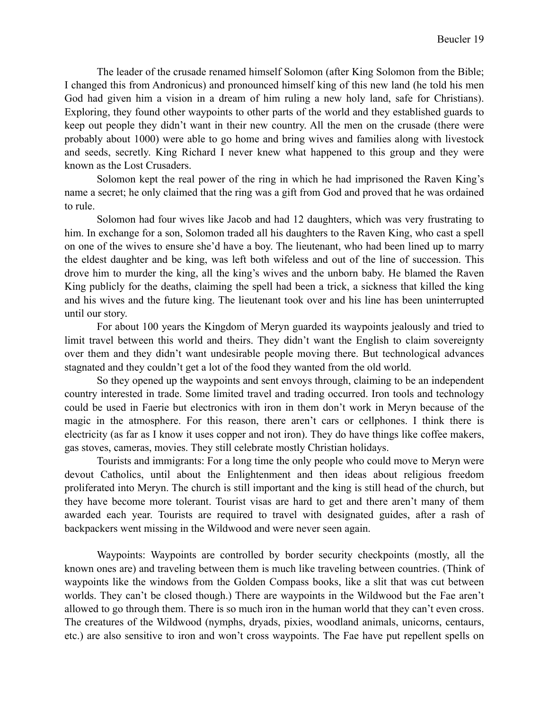The leader of the crusade renamed himself Solomon (after King Solomon from the Bible; I changed this from Andronicus) and pronounced himself king of this new land (he told his men God had given him a vision in a dream of him ruling a new holy land, safe for Christians). Exploring, they found other waypoints to other parts of the world and they established guards to keep out people they didn't want in their new country. All the men on the crusade (there were probably about 1000) were able to go home and bring wives and families along with livestock and seeds, secretly. King Richard I never knew what happened to this group and they were known as the Lost Crusaders.

Solomon kept the real power of the ring in which he had imprisoned the Raven King's name a secret; he only claimed that the ring was a gift from God and proved that he was ordained to rule.

Solomon had four wives like Jacob and had 12 daughters, which was very frustrating to him. In exchange for a son, Solomon traded all his daughters to the Raven King, who cast a spell on one of the wives to ensure she'd have a boy. The lieutenant, who had been lined up to marry the eldest daughter and be king, was left both wifeless and out of the line of succession. This drove him to murder the king, all the king's wives and the unborn baby. He blamed the Raven King publicly for the deaths, claiming the spell had been a trick, a sickness that killed the king and his wives and the future king. The lieutenant took over and his line has been uninterrupted until our story.

For about 100 years the Kingdom of Meryn guarded its waypoints jealously and tried to limit travel between this world and theirs. They didn't want the English to claim sovereignty over them and they didn't want undesirable people moving there. But technological advances stagnated and they couldn't get a lot of the food they wanted from the old world.

So they opened up the waypoints and sent envoys through, claiming to be an independent country interested in trade. Some limited travel and trading occurred. Iron tools and technology could be used in Faerie but electronics with iron in them don't work in Meryn because of the magic in the atmosphere. For this reason, there aren't cars or cellphones. I think there is electricity (as far as I know it uses copper and not iron). They do have things like coffee makers, gas stoves, cameras, movies. They still celebrate mostly Christian holidays.

Tourists and immigrants: For a long time the only people who could move to Meryn were devout Catholics, until about the Enlightenment and then ideas about religious freedom proliferated into Meryn. The church is still important and the king is still head of the church, but they have become more tolerant. Tourist visas are hard to get and there aren't many of them awarded each year. Tourists are required to travel with designated guides, after a rash of backpackers went missing in the Wildwood and were never seen again.

Waypoints: Waypoints are controlled by border security checkpoints (mostly, all the known ones are) and traveling between them is much like traveling between countries. (Think of waypoints like the windows from the Golden Compass books, like a slit that was cut between worlds. They can't be closed though.) There are waypoints in the Wildwood but the Fae aren't allowed to go through them. There is so much iron in the human world that they can't even cross. The creatures of the Wildwood (nymphs, dryads, pixies, woodland animals, unicorns, centaurs, etc.) are also sensitive to iron and won't cross waypoints. The Fae have put repellent spells on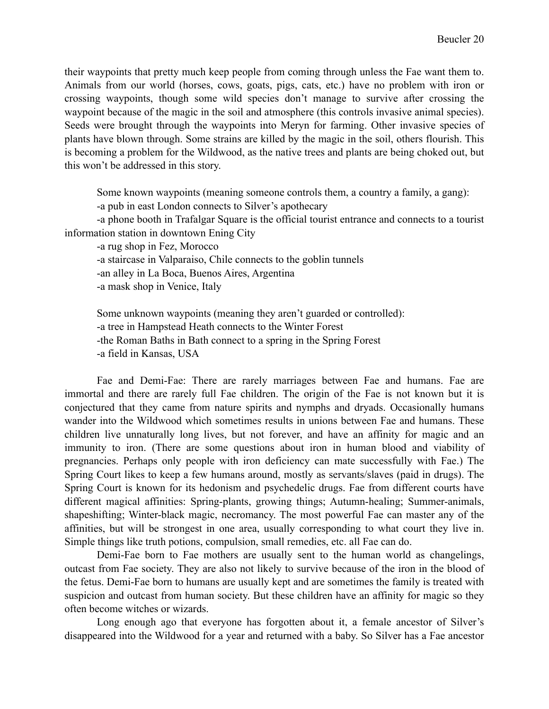their waypoints that pretty much keep people from coming through unless the Fae want them to. Animals from our world (horses, cows, goats, pigs, cats, etc.) have no problem with iron or crossing waypoints, though some wild species don't manage to survive after crossing the waypoint because of the magic in the soil and atmosphere (this controls invasive animal species). Seeds were brought through the waypoints into Meryn for farming. Other invasive species of plants have blown through. Some strains are killed by the magic in the soil, others flourish. This is becoming a problem for the Wildwood, as the native trees and plants are being choked out, but this won't be addressed in this story.

Some known waypoints (meaning someone controls them, a country a family, a gang):

-a pub in east London connects to Silver's apothecary

-a phone booth in Trafalgar Square is the official tourist entrance and connects to a tourist information station in downtown Ening City

-a rug shop in Fez, Morocco

-a staircase in Valparaiso, Chile connects to the goblin tunnels

-an alley in La Boca, Buenos Aires, Argentina

-a mask shop in Venice, Italy

Some unknown waypoints (meaning they aren't guarded or controlled): -a tree in Hampstead Heath connects to the Winter Forest -the Roman Baths in Bath connect to a spring in the Spring Forest -a field in Kansas, USA

Fae and Demi-Fae: There are rarely marriages between Fae and humans. Fae are immortal and there are rarely full Fae children. The origin of the Fae is not known but it is conjectured that they came from nature spirits and nymphs and dryads. Occasionally humans wander into the Wildwood which sometimes results in unions between Fae and humans. These children live unnaturally long lives, but not forever, and have an affinity for magic and an immunity to iron. (There are some questions about iron in human blood and viability of pregnancies. Perhaps only people with iron deficiency can mate successfully with Fae.) The Spring Court likes to keep a few humans around, mostly as servants/slaves (paid in drugs). The Spring Court is known for its hedonism and psychedelic drugs. Fae from different courts have different magical affinities: Spring-plants, growing things; Autumn-healing; Summer-animals, shapeshifting; Winter-black magic, necromancy. The most powerful Fae can master any of the affinities, but will be strongest in one area, usually corresponding to what court they live in. Simple things like truth potions, compulsion, small remedies, etc. all Fae can do.

Demi-Fae born to Fae mothers are usually sent to the human world as changelings, outcast from Fae society. They are also not likely to survive because of the iron in the blood of the fetus. Demi-Fae born to humans are usually kept and are sometimes the family is treated with suspicion and outcast from human society. But these children have an affinity for magic so they often become witches or wizards.

Long enough ago that everyone has forgotten about it, a female ancestor of Silver's disappeared into the Wildwood for a year and returned with a baby. So Silver has a Fae ancestor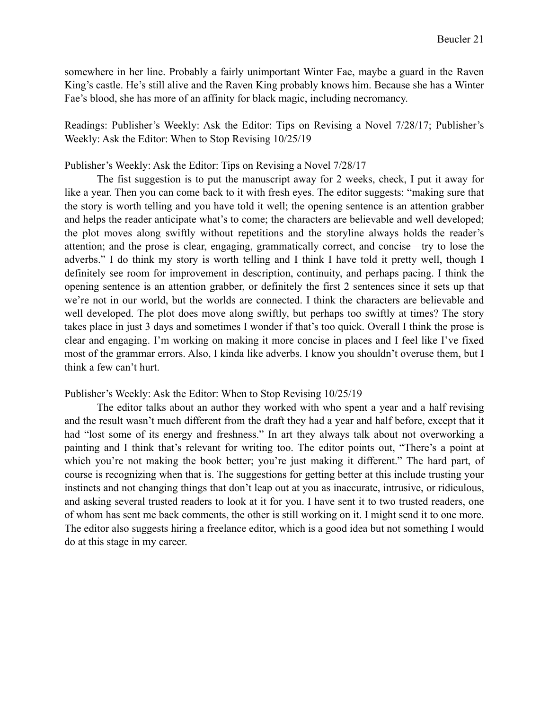somewhere in her line. Probably a fairly unimportant Winter Fae, maybe a guard in the Raven King's castle. He's still alive and the Raven King probably knows him. Because she has a Winter Fae's blood, she has more of an affinity for black magic, including necromancy.

Readings: Publisher's Weekly: Ask the Editor: Tips on Revising a Novel 7/28/17; Publisher's Weekly: Ask the Editor: When to Stop Revising 10/25/19

#### Publisher's Weekly: Ask the Editor: Tips on Revising a Novel 7/28/17

The fist suggestion is to put the manuscript away for 2 weeks, check, I put it away for like a year. Then you can come back to it with fresh eyes. The editor suggests: "making sure that the story is worth telling and you have told it well; the opening sentence is an attention grabber and helps the reader anticipate what's to come; the characters are believable and well developed; the plot moves along swiftly without repetitions and the storyline always holds the reader's attention; and the prose is clear, engaging, grammatically correct, and concise—try to lose the adverbs." I do think my story is worth telling and I think I have told it pretty well, though I definitely see room for improvement in description, continuity, and perhaps pacing. I think the opening sentence is an attention grabber, or definitely the first 2 sentences since it sets up that we're not in our world, but the worlds are connected. I think the characters are believable and well developed. The plot does move along swiftly, but perhaps too swiftly at times? The story takes place in just 3 days and sometimes I wonder if that's too quick. Overall I think the prose is clear and engaging. I'm working on making it more concise in places and I feel like I've fixed most of the grammar errors. Also, I kinda like adverbs. I know you shouldn't overuse them, but I think a few can't hurt.

## Publisher's Weekly: Ask the Editor: When to Stop Revising 10/25/19

The editor talks about an author they worked with who spent a year and a half revising and the result wasn't much different from the draft they had a year and half before, except that it had "lost some of its energy and freshness." In art they always talk about not overworking a painting and I think that's relevant for writing too. The editor points out, "There's a point at which you're not making the book better; you're just making it different." The hard part, of course is recognizing when that is. The suggestions for getting better at this include trusting your instincts and not changing things that don't leap out at you as inaccurate, intrusive, or ridiculous, and asking several trusted readers to look at it for you. I have sent it to two trusted readers, one of whom has sent me back comments, the other is still working on it. I might send it to one more. The editor also suggests hiring a freelance editor, which is a good idea but not something I would do at this stage in my career.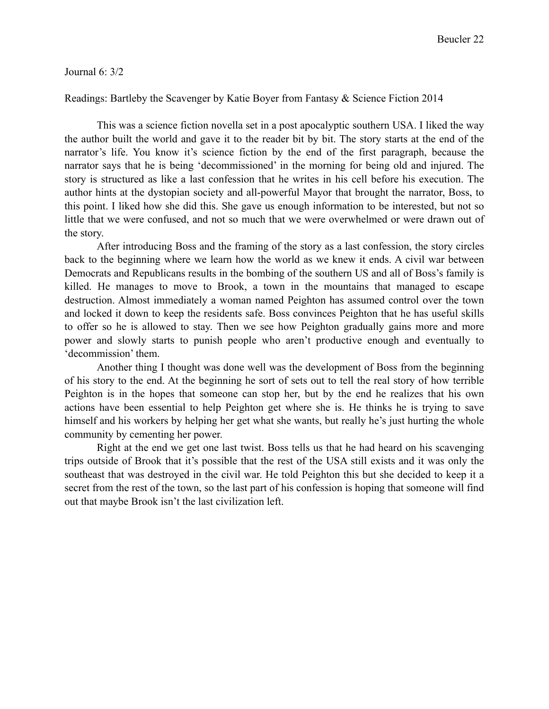#### Journal 6: 3/2

## Readings: Bartleby the Scavenger by Katie Boyer from Fantasy & Science Fiction 2014

This was a science fiction novella set in a post apocalyptic southern USA. I liked the way the author built the world and gave it to the reader bit by bit. The story starts at the end of the narrator's life. You know it's science fiction by the end of the first paragraph, because the narrator says that he is being 'decommissioned' in the morning for being old and injured. The story is structured as like a last confession that he writes in his cell before his execution. The author hints at the dystopian society and all-powerful Mayor that brought the narrator, Boss, to this point. I liked how she did this. She gave us enough information to be interested, but not so little that we were confused, and not so much that we were overwhelmed or were drawn out of the story.

After introducing Boss and the framing of the story as a last confession, the story circles back to the beginning where we learn how the world as we knew it ends. A civil war between Democrats and Republicans results in the bombing of the southern US and all of Boss's family is killed. He manages to move to Brook, a town in the mountains that managed to escape destruction. Almost immediately a woman named Peighton has assumed control over the town and locked it down to keep the residents safe. Boss convinces Peighton that he has useful skills to offer so he is allowed to stay. Then we see how Peighton gradually gains more and more power and slowly starts to punish people who aren't productive enough and eventually to 'decommission' them.

Another thing I thought was done well was the development of Boss from the beginning of his story to the end. At the beginning he sort of sets out to tell the real story of how terrible Peighton is in the hopes that someone can stop her, but by the end he realizes that his own actions have been essential to help Peighton get where she is. He thinks he is trying to save himself and his workers by helping her get what she wants, but really he's just hurting the whole community by cementing her power.

Right at the end we get one last twist. Boss tells us that he had heard on his scavenging trips outside of Brook that it's possible that the rest of the USA still exists and it was only the southeast that was destroyed in the civil war. He told Peighton this but she decided to keep it a secret from the rest of the town, so the last part of his confession is hoping that someone will find out that maybe Brook isn't the last civilization left.